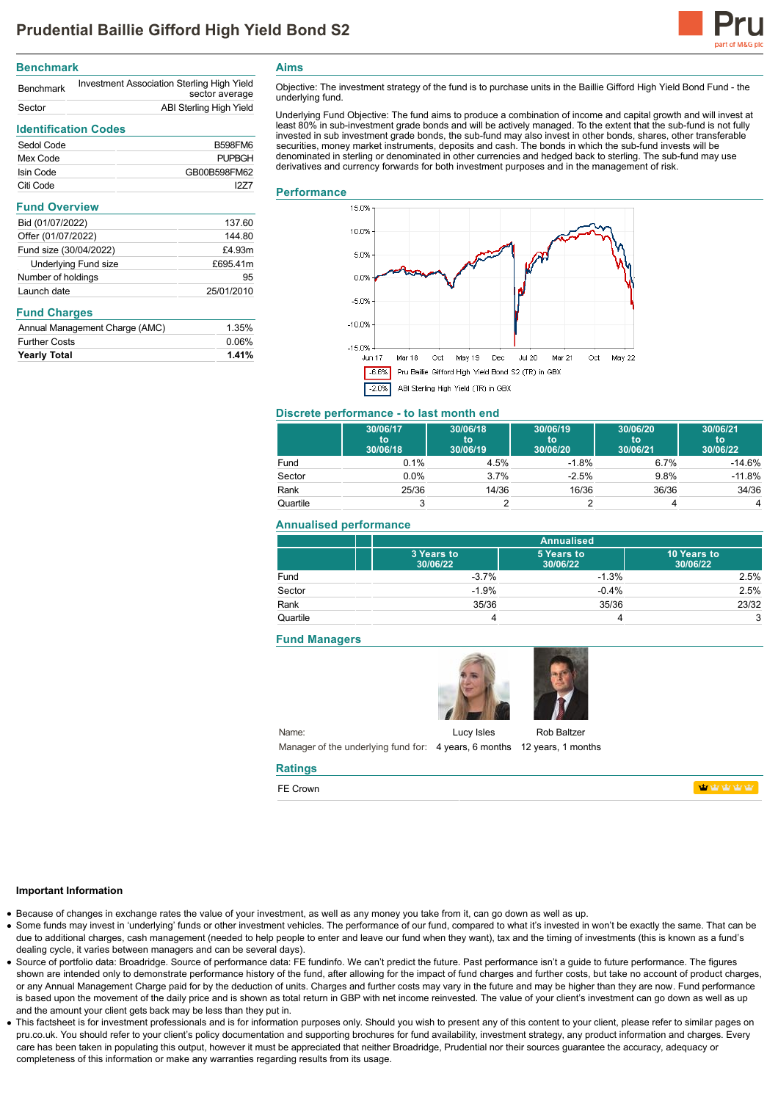

# **Benchmark**

| <b>Benchmark</b> | Investment Association Sterling High Yield<br>sector average |
|------------------|--------------------------------------------------------------|
| Sector           | ABI Sterling High Yield                                      |

# **Identification Codes**

| Sedol Code | <b>B598FM6</b> |
|------------|----------------|
| Mex Code   | <b>PUPBGH</b>  |
| Isin Code  | GB00B598FM62   |
| Citi Code  | 1277           |

# **Fund Overview**

| Bid (01/07/2022)            | 137.60     |
|-----------------------------|------------|
| Offer (01/07/2022)          | 144.80     |
| Fund size (30/04/2022)      | £4.93m     |
| <b>Underlying Fund size</b> | £695.41m   |
| Number of holdings          | 95         |
| Launch date                 | 25/01/2010 |

# **Fund Charges**

| Annual Management Charge (AMC) | 1.35% |
|--------------------------------|-------|
| <b>Further Costs</b>           | 0.06% |
| <b>Yearly Total</b>            | 1.41% |
|                                |       |

**Aims**

Objective: The investment strategy of the fund is to purchase units in the Baillie Gifford High Yield Bond Fund - the underlying fund.

Underlying Fund Objective: The fund aims to produce a combination of income and capital growth and will invest at least 80% in sub-investment grade bonds and will be actively managed. To the extent that the sub-fund is not fully invested in sub investment grade bonds, the sub-fund may also invest in other bonds, shares, other transferable securities, money market instruments, deposits and cash. The bonds in which the sub-fund invests will be denominated in sterling or denominated in other currencies and hedged back to sterling. The sub-fund may use derivatives and currency forwards for both investment purposes and in the management of risk.

#### **Performance**



### **Discrete performance - to last month end**

|          | 30/06/17<br>to<br>30/06/18 | 30/06/18<br>to<br>30/06/19 | 30/06/19<br>to<br>30/06/20 | 30/06/20<br>to<br>30/06/21 | 30/06/21<br>to<br>30/06/22 |
|----------|----------------------------|----------------------------|----------------------------|----------------------------|----------------------------|
| Fund     | 0.1%                       | 4.5%                       | $-1.8%$                    | 6.7%                       | $-14.6%$                   |
| Sector   | 0.0%                       | 3.7%                       | $-2.5%$                    | 9.8%                       | $-11.8%$                   |
| Rank     | 25/36                      | 14/36                      | 16/36                      | 36/36                      | 34/36                      |
| Quartile | 3                          |                            |                            |                            | 4                          |

## **Annualised performance**

|          | <b>Annualised</b>      |                        |                         |
|----------|------------------------|------------------------|-------------------------|
|          | 3 Years to<br>30/06/22 | 5 Years to<br>30/06/22 | 10 Years to<br>30/06/22 |
| Fund     | $-3.7%$                | $-1.3%$                | 2.5%                    |
| Sector   | $-1.9%$                | $-0.4%$                | 2.5%                    |
| Rank     | 35/36                  | 35/36                  | 23/32                   |
| Quartile |                        |                        |                         |

## **Fund Managers**



Name: Manager of the underlying fund for: 4 years, 6 months 12 years, 1 months

#### **Ratings**

FE Crown

**Index rates rates** 

#### **Important Information**

Because of changes in exchange rates the value of your investment, as well as any money you take from it, can go down as well as up.

- Some funds may invest in 'underlying' funds or other investment vehicles. The performance of our fund, compared to what it's invested in won't be exactly the same. That can be due to additional charges, cash management (needed to help people to enter and leave our fund when they want), tax and the timing of investments (this is known as a fund's dealing cycle, it varies between managers and can be several days).
- Source of portfolio data: Broadridge. Source of performance data: FE fundinfo. We can't predict the future. Past performance isn't a guide to future performance. The figures shown are intended only to demonstrate performance history of the fund, after allowing for the impact of fund charges and further costs, but take no account of product charges, or any Annual Management Charge paid for by the deduction of units. Charges and further costs may vary in the future and may be higher than they are now. Fund performance is based upon the movement of the daily price and is shown as total return in GBP with net income reinvested. The value of your client's investment can go down as well as up and the amount your client gets back may be less than they put in.
- This factsheet is for investment professionals and is for information purposes only. Should you wish to present any of this content to your client, please refer to similar pages on pru.co.uk. You should refer to your client's policy documentation and supporting brochures for fund availability, investment strategy, any product information and charges. Every care has been taken in populating this output, however it must be appreciated that neither Broadridge. Prudential nor their sources guarantee the accuracy, adequacy or completeness of this information or make any warranties regarding results from its usage.